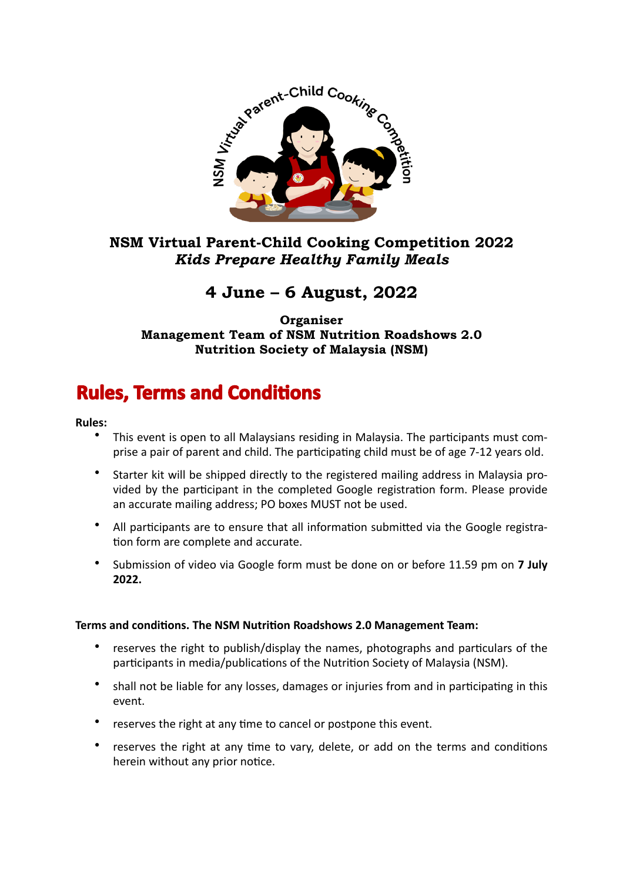

### **NSM Virtual Parent-Child Cooking Competition 2022**  *Kids Prepare Healthy Family Meals*

## **4 June – 6 August, 2022**

**Organiser Management Team of NSM Nutrition Roadshows 2.0 Nutrition Society of Malaysia (NSM)** 

# **Rules, Terms and Conditions**

### **Rules:**

- This event is open to all Malaysians residing in Malaysia. The participants must comprise a pair of parent and child. The participating child must be of age 7-12 years old.
- Starter kit will be shipped directly to the registered mailing address in Malaysia provided by the participant in the completed Google registration form. Please provide an accurate mailing address; PO boxes MUST not be used.
- All participants are to ensure that all information submitted via the Google registration form are complete and accurate.
- Submission of video via Google form must be done on or before 11.59 pm on 7 July **2022.**

### **Terms and conditions. The NSM Nutrition Roadshows 2.0 Management Team:**

- reserves the right to publish/display the names, photographs and particulars of the participants in media/publications of the Nutrition Society of Malaysia (NSM).
- shall not be liable for any losses, damages or injuries from and in participating in this event.
- reserves the right at any time to cancel or postpone this event.
- reserves the right at any time to vary, delete, or add on the terms and conditions herein without any prior notice.